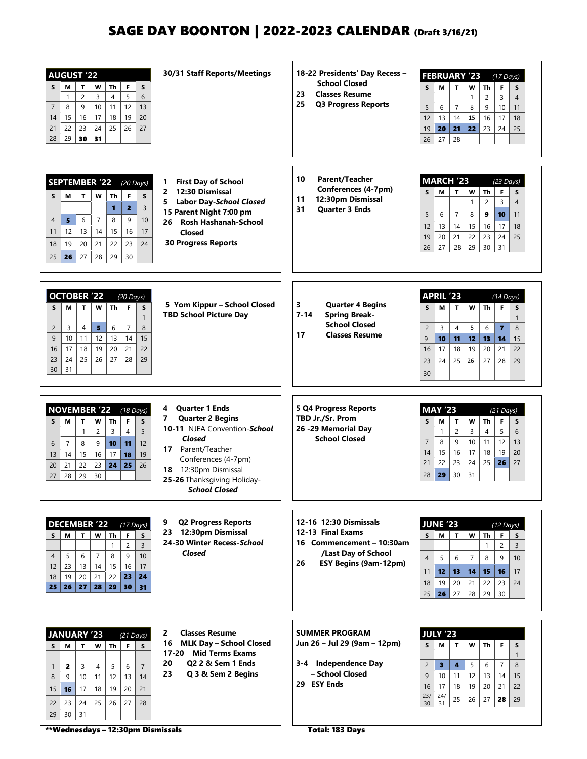# SAGE DAY BOONTON | 2022-2023 CALENDAR (Draft 3/16/21)

| <b>AUGUST '22</b><br>Th<br>F<br>M<br>T<br>w<br>S<br>S<br>$\overline{c}$<br>3<br>$\overline{4}$<br>5<br>$\mathbf{1}$<br>6<br>8<br>9<br>10<br>11<br>12<br>$\overline{7}$<br>13<br>17<br>19<br>20<br>15<br>16<br>18<br>14<br>22<br>23<br>24<br>25<br>26<br>27<br>21<br>29<br>30<br>31<br>28                                        | 30/31 Staff Reports/Meetings                                                                                                                                                                                             | 18-22 Presidents' Day Recess -<br><b>School Closed</b><br><b>Classes Resume</b><br>23<br>25<br><b>Q3 Progress Reports</b>                 | <b>FEBRUARY '23</b><br>$(17$ Days)<br>S<br>W<br>Th<br>F<br>М<br>T<br>S<br>3<br>$\overline{c}$<br>$\overline{4}$<br>$\mathbf{1}$<br>5<br>$\overline{7}$<br>11<br>6<br>8<br>9<br>10<br>14<br>12<br>13<br>15<br>16<br>17<br>18<br>21<br>22<br>23<br>19<br>20<br>24<br>25<br>28<br>27<br>26                                                              |
|---------------------------------------------------------------------------------------------------------------------------------------------------------------------------------------------------------------------------------------------------------------------------------------------------------------------------------|--------------------------------------------------------------------------------------------------------------------------------------------------------------------------------------------------------------------------|-------------------------------------------------------------------------------------------------------------------------------------------|------------------------------------------------------------------------------------------------------------------------------------------------------------------------------------------------------------------------------------------------------------------------------------------------------------------------------------------------------|
| <b>SEPTEMBER '22</b><br>$(20$ Days)<br>T<br>w<br>F<br>S.<br>S<br>М<br>Th<br>$\overline{2}$<br>$\blacksquare$<br>$\overline{3}$<br>$\overline{7}$<br>9<br>$\overline{4}$<br>5<br>6<br>8<br>10<br>12<br>13<br>14<br>15<br>16<br>17<br>11<br>23<br>24<br>19<br>22<br>18<br>20<br>21<br>26<br>28<br>29<br>30<br>27<br>25            | <b>First Day of School</b><br>1.<br>12:30 Dismissal<br>2<br><b>Labor Day-School Closed</b><br>5.<br>15 Parent Night 7:00 pm<br><b>Rosh Hashanah-School</b><br>26<br>Closed<br><b>30 Progress Reports</b>                 | 10<br><b>Parent/Teacher</b><br>Conferences (4-7pm)<br>12:30pm Dismissal<br>11<br>31<br><b>Ouarter 3 Ends</b>                              | <b>MARCH '23</b><br>$(23$ Days)<br>S<br>М<br>$\mathbf{T}$<br>Th<br>F<br>W<br>S<br>$\overline{2}$<br>3<br>$\overline{4}$<br>$\mathbf{1}$<br>5<br>6<br>7<br>8<br>10<br>11<br>9<br>17<br>18<br>12<br>13<br>14<br>15<br>16<br>22<br>25<br>19<br>20<br>21<br>23<br>24<br>30<br>27<br>28<br>29<br>31<br>26                                                 |
| <b>OCTOBER '22</b><br>$(20$ Days)<br>T.<br>F<br>S<br>М<br>Th<br>W<br>S<br>$\mathbf{1}$<br>8<br>4<br>5<br>6<br>$\overline{7}$<br>$\overline{2}$<br>3<br>12<br>13<br>14<br>15<br>9<br>10<br>11<br>19<br>20<br>18<br>21<br>22<br>17<br>16<br>26<br>24<br>25<br>27<br>28<br>23<br>29<br>31<br>30                                    | 5 Yom Kippur - School Closed<br><b>TBD School Picture Day</b>                                                                                                                                                            | 3<br><b>Quarter 4 Begins</b><br>$7 - 14$<br><b>Spring Break-</b><br><b>School Closed</b><br><b>Classes Resume</b><br>17                   | <b>APRIL '23</b><br>$(14$ Days)<br>Th<br>F<br>S<br>М<br>$\mathbf{T}$<br>W<br>S<br>$\mathbf{1}$<br>$\overline{7}$<br>$\overline{2}$<br>3<br>4<br>5<br>6<br>8<br>9<br>11<br>12<br>15<br>10<br>13<br>14<br>19<br>21<br>16<br>17<br>18<br>20<br>22<br>25<br>26<br>23<br>24<br>27<br>28<br>29<br>30                                                       |
| <b>NOVEMBER '22</b><br>$(18 \text{ Days})$<br>F<br>S<br>М<br>T<br>W<br>Th<br>S<br>$\mathbf{1}$<br>$\overline{4}$<br>5<br>$\overline{c}$<br>3<br>$\overline{7}$<br>8<br>9<br>10<br>11<br>12<br>6<br>15<br>16<br>18<br>19<br>14<br>17<br>13<br>26<br>21<br>22<br>23<br>24<br>25<br>20<br>29<br>28<br>30<br>27                     | <b>Quarter 1 Ends</b><br>4<br><b>Quarter 2 Begins</b><br>7<br>10-11 NJEA Convention-School<br>Closed<br>17 Parent/Teacher<br>Conferences (4-7pm)<br>18 12:30pm Dismissal<br>25-26 Thanksgiving Holiday-<br>School Closed | 5 Q4 Progress Reports<br>TBD Jr./Sr. Prom<br>26 -29 Memorial Day<br><b>School Closed</b>                                                  | <b>MAY '23</b><br>$(21$ Days)<br>Th<br>S<br>М<br>$\mathbf T$<br>w<br>F<br>S<br>$\overline{c}$<br>5<br>6<br>$\mathbf{1}$<br>3<br>$\overline{4}$<br>$\overline{7}$<br>8<br>9<br>11<br>12<br>13<br>10<br>16<br>15<br>17<br>18<br>19<br>20<br>14<br>23<br>24<br>25<br>27<br>21<br>22<br>26<br>30<br>29<br>31<br>28                                       |
| <b>DECEMBER '22</b><br>$(17$ Days)<br>$W$ Th<br>F<br>T.<br>S<br>М<br>S<br>$\overline{c}$<br>$\overline{3}$<br>$\mathbf{1}$<br>9<br>10<br>5<br>6<br>$\overline{7}$<br>8<br>$\overline{4}$<br>23<br>13<br>14<br>15<br>16<br>12<br>17<br>22<br>19<br>20<br>21<br>23<br>24<br>18<br>28<br>29<br>25<br>26<br>27<br>30<br>31          | 9<br><b>Q2 Progress Reports</b><br>23 12:30pm Dismissal<br>24-30 Winter Recess-School<br>Closed                                                                                                                          | 12-16 12:30 Dismissals<br>12-13 Final Exams<br>16 Commencement - 10:30am<br>/Last Day of School<br>26<br><b>ESY Begins (9am-12pm)</b>     | <b>JUNE '23</b><br>$(12 \text{ Days})$<br>W<br>Th<br>F<br>S<br>М<br>$\mathbf{T}$<br>S<br>$\overline{c}$<br>$\overline{3}$<br>$\mathbf{1}$<br>$\overline{4}$<br>5<br>$\overline{7}$<br>8<br>9<br>10<br>6<br>14<br>15<br>12 <sub>2</sub><br>13<br>16<br>17<br>11<br>22<br>23<br>24<br>18<br>20<br>21<br>19<br>29<br>27<br>28<br>30<br>25<br>26         |
| <b>JANUARY '23</b><br>$(21$ Days)<br>F<br>S<br>M<br>T.<br>W<br>Th<br>S<br>$\overline{7}$<br>$\mathbf{z}$<br>3<br>5<br>6<br>4<br>$\mathbf{1}$<br>12<br>13<br>14<br>9<br>10<br>11<br>8<br>19<br>20<br>16<br>17<br>18<br>21<br>15<br>26<br>28<br>23<br>24<br>25<br>27<br>22<br>29<br>30<br>31<br>**Wednesdays - 12:30pm Dismissals | 2<br><b>Classes Resume</b><br><b>MLK Day - School Closed</b><br>16<br>17-20<br><b>Mid Terms Exams</b><br>02 2 & Sem 1 Ends<br>20<br>23<br>Q 3 & Sem 2 Begins                                                             | <b>SUMMER PROGRAM</b><br>Jun 26 - Jul 29 (9am - 12pm)<br>3-4 Independence Day<br>- School Closed<br>29 ESY Ends<br><b>Total: 183 Days</b> | <b>JULY '23</b><br>W<br><b>Th</b><br>F<br>S<br>$\mathsf{s}$<br>М<br>$\mathbf{T}$<br>$\mathbf{1}$<br>$\overline{\mathbf{3}}$<br>$\overline{\mathbf{4}}$<br>5<br>$\overline{7}$<br>$\overline{2}$<br>6<br>8<br>9<br>12<br>13<br>14<br>15<br>10<br>11<br>16<br>17<br>18<br>19<br>20<br>21<br>22<br>23/<br>24/<br>25<br>26<br>27<br>29<br>28<br>30<br>31 |